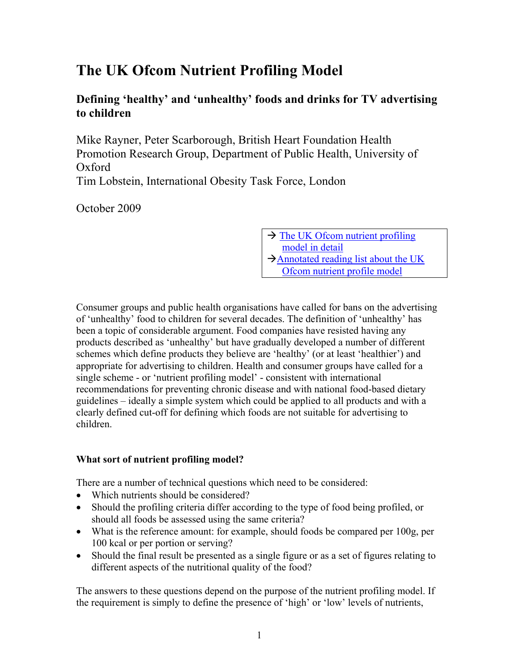# **The UK Ofcom Nutrient Profiling Model**

## **Defining 'healthy' and 'unhealthy' foods and drinks for TV advertising to children**

Mike Rayner, Peter Scarborough, British Heart Foundation Health Promotion Research Group, Department of Public Health, University of Oxford Tim Lobstein, International Obesity Task Force, London

October 2009

 $\rightarrow$  The UK Ofcom nutrient profiling [model in detail](#page-5-0)  $\rightarrow$  Annotated reading list about the UK [Ofcom nutrient profile model](#page-9-0) 

Consumer groups and public health organisations have called for bans on the advertising of 'unhealthy' food to children for several decades. The definition of 'unhealthy' has been a topic of considerable argument. Food companies have resisted having any products described as 'unhealthy' but have gradually developed a number of different schemes which define products they believe are 'healthy' (or at least 'healthier') and appropriate for advertising to children. Health and consumer groups have called for a single scheme - or 'nutrient profiling model' - consistent with international recommendations for preventing chronic disease and with national food-based dietary guidelines – ideally a simple system which could be applied to all products and with a clearly defined cut-off for defining which foods are not suitable for advertising to children.

## **What sort of nutrient profiling model?**

There are a number of technical questions which need to be considered:

- Which nutrients should be considered?
- Should the profiling criteria differ according to the type of food being profiled, or should all foods be assessed using the same criteria?
- What is the reference amount: for example, should foods be compared per 100g, per 100 kcal or per portion or serving?
- Should the final result be presented as a single figure or as a set of figures relating to different aspects of the nutritional quality of the food?

The answers to these questions depend on the purpose of the nutrient profiling model. If the requirement is simply to define the presence of 'high' or 'low' levels of nutrients,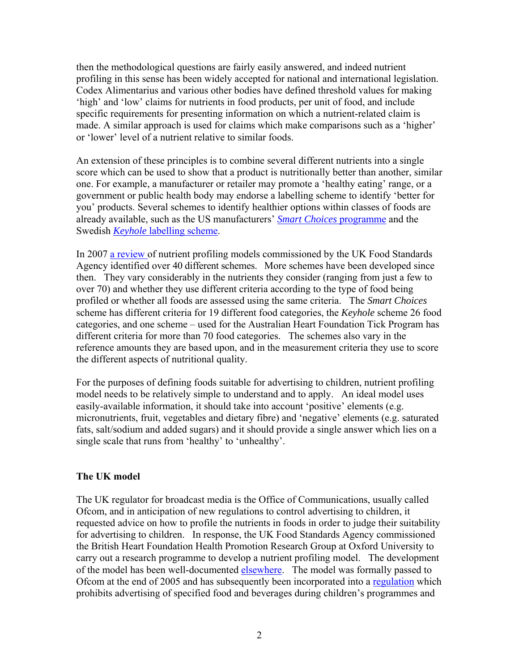then the methodological questions are fairly easily answered, and indeed nutrient profiling in this sense has been widely accepted for national and international legislation. Codex Alimentarius and various other bodies have defined threshold values for making 'high' and 'low' claims for nutrients in food products, per unit of food, and include specific requirements for presenting information on which a nutrient-related claim is made. A similar approach is used for claims which make comparisons such as a 'higher' or 'lower' level of a nutrient relative to similar foods.

An extension of these principles is to combine several different nutrients into a single score which can be used to show that a product is nutritionally better than another, similar one. For example, a manufacturer or retailer may promote a 'healthy eating' range, or a government or public health body may endorse a labelling scheme to identify 'better for you' products. Several schemes to identify healthier options within classes of foods are already available, such as the US manufacturers' *[Smart Choices](http://www.smartchoicesprogram.com/nutrition.html)* programme and the Swedish *Keyhole* [labelling scheme.](http://www.slv.se/upload/nfa/documents/food_regulations/Keyhole_2005_9.pdf)

In 2007 [a review](http://www.food.gov.uk/healthiereating/advertisingtochildren/nutlab/nutprofilereview/nutprofilelitupdatedec07) of nutrient profiling models commissioned by the UK Food Standards Agency identified over 40 different schemes. More schemes have been developed since then. They vary considerably in the nutrients they consider (ranging from just a few to over 70) and whether they use different criteria according to the type of food being profiled or whether all foods are assessed using the same criteria. The *Smart Choices* scheme has different criteria for 19 different food categories, the *Keyhole* scheme 26 food categories, and one scheme – used for the Australian Heart Foundation Tick Program has different criteria for more than 70 food categories. The schemes also vary in the reference amounts they are based upon, and in the measurement criteria they use to score the different aspects of nutritional quality.

For the purposes of defining foods suitable for advertising to children, nutrient profiling model needs to be relatively simple to understand and to apply. An ideal model uses easily-available information, it should take into account 'positive' elements (e.g. micronutrients, fruit, vegetables and dietary fibre) and 'negative' elements (e.g. saturated fats, salt/sodium and added sugars) and it should provide a single answer which lies on a single scale that runs from 'healthy' to 'unhealthy'.

#### **The UK model**

The UK regulator for broadcast media is the Office of Communications, usually called Ofcom, and in anticipation of new regulations to control advertising to children, it requested advice on how to profile the nutrients in foods in order to judge their suitability for advertising to children. In response, the UK Food Standards Agency commissioned the British Heart Foundation Health Promotion Research Group at Oxford University to carry out a research programme to develop a nutrient profiling model. The development of the model has been well-documented [elsewhere.](http://www.food.gov.uk/foodlabelling/researchandreports/nutrientprofiles) The model was formally passed to Ofcom at the end of 2005 and has subsequently been incorporated into a regulation which prohibits advertising of specified food and beverages during children's programmes and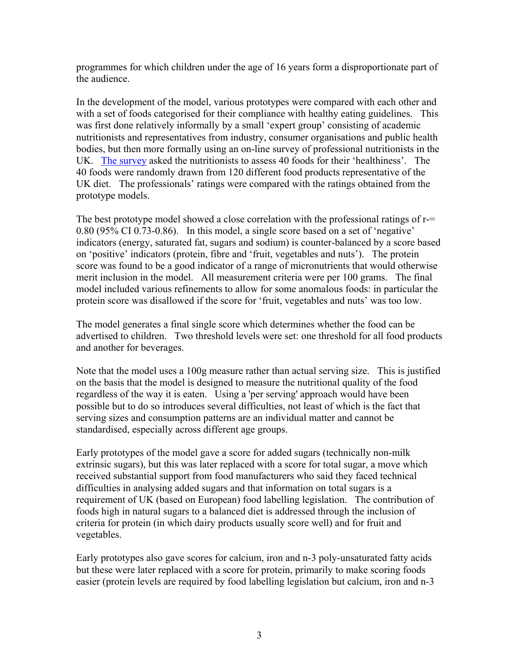programmes for which children under the age of 16 years form a disproportionate part of the audience.

In the development of the model, various prototypes were compared with each other and with a set of foods categorised for their compliance with healthy eating guidelines. This was first done relatively informally by a small 'expert group' consisting of academic nutritionists and representatives from industry, consumer organisations and public health bodies, but then more formally using an on-line survey of professional nutritionists in the UK. [The survey](http://www.food.gov.uk/multimedia/pdfs/npreportsept05.pdf) asked the nutritionists to assess 40 foods for their 'healthiness'. The 40 foods were randomly drawn from 120 different food products representative of the UK diet. The professionals' ratings were compared with the ratings obtained from the prototype models.

The best prototype model showed a close correlation with the professional ratings of r-0.80 (95% CI 0.73-0.86). In this model, a single score based on a set of 'negative' indicators (energy, saturated fat, sugars and sodium) is counter-balanced by a score based on 'positive' indicators (protein, fibre and 'fruit, vegetables and nuts'). The protein score was found to be a good indicator of a range of micronutrients that would otherwise merit inclusion in the model. All measurement criteria were per 100 grams. The final model included various refinements to allow for some anomalous foods: in particular the protein score was disallowed if the score for 'fruit, vegetables and nuts' was too low.

The model generates a final single score which determines whether the food can be advertised to children. Two threshold levels were set: one threshold for all food products and another for beverages.

Note that the model uses a 100g measure rather than actual serving size. This is justified on the basis that the model is designed to measure the nutritional quality of the food regardless of the way it is eaten. Using a 'per serving' approach would have been possible but to do so introduces several difficulties, not least of which is the fact that serving sizes and consumption patterns are an individual matter and cannot be standardised, especially across different age groups.

Early prototypes of the model gave a score for added sugars (technically non-milk extrinsic sugars), but this was later replaced with a score for total sugar, a move which received substantial support from food manufacturers who said they faced technical difficulties in analysing added sugars and that information on total sugars is a requirement of UK (based on European) food labelling legislation. The contribution of foods high in natural sugars to a balanced diet is addressed through the inclusion of criteria for protein (in which dairy products usually score well) and for fruit and vegetables.

Early prototypes also gave scores for calcium, iron and n-3 poly-unsaturated fatty acids but these were later replaced with a score for protein, primarily to make scoring foods easier (protein levels are required by food labelling legislation but calcium, iron and n-3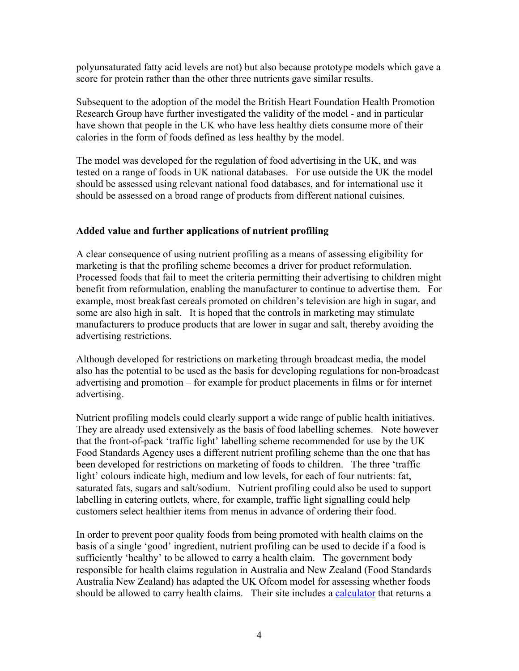polyunsaturated fatty acid levels are not) but also because prototype models which gave a score for protein rather than the other three nutrients gave similar results.

Subsequent to the adoption of the model the British Heart Foundation Health Promotion Research Group have further investigated the validity of the model - and in particular have shown that people in the UK who have less healthy diets consume more of their calories in the form of foods defined as less healthy by the model.

The model was developed for the regulation of food advertising in the UK, and was tested on a range of foods in UK national databases. For use outside the UK the model should be assessed using relevant national food databases, and for international use it should be assessed on a broad range of products from different national cuisines.

#### **Added value and further applications of nutrient profiling**

A clear consequence of using nutrient profiling as a means of assessing eligibility for marketing is that the profiling scheme becomes a driver for product reformulation. Processed foods that fail to meet the criteria permitting their advertising to children might benefit from reformulation, enabling the manufacturer to continue to advertise them. For example, most breakfast cereals promoted on children's television are high in sugar, and some are also high in salt. It is hoped that the controls in marketing may stimulate manufacturers to produce products that are lower in sugar and salt, thereby avoiding the advertising restrictions.

Although developed for restrictions on marketing through broadcast media, the model also has the potential to be used as the basis for developing regulations for non-broadcast advertising and promotion – for example for product placements in films or for internet advertising.

Nutrient profiling models could clearly support a wide range of public health initiatives. They are already used extensively as the basis of food labelling schemes. Note however that the front-of-pack 'traffic light' labelling scheme recommended for use by the UK Food Standards Agency uses a different nutrient profiling scheme than the one that has been developed for restrictions on marketing of foods to children. The three 'traffic light' colours indicate high, medium and low levels, for each of four nutrients: fat, saturated fats, sugars and salt/sodium. Nutrient profiling could also be used to support labelling in catering outlets, where, for example, traffic light signalling could help customers select healthier items from menus in advance of ordering their food.

In order to prevent poor quality foods from being promoted with health claims on the basis of a single 'good' ingredient, nutrient profiling can be used to decide if a food is sufficiently 'healthy' to be allowed to carry a health claim. The government body responsible for health claims regulation in Australia and New Zealand (Food Standards Australia New Zealand) has adapted the UK Ofcom model for assessing whether foods should be allowed to carry health claims. Their site includes a [calculator](http://www.foodstandards.gov.au/foodmatters/healthnutritionandrelatedclaims/nutrientprofilingcal3499.cfm) that returns a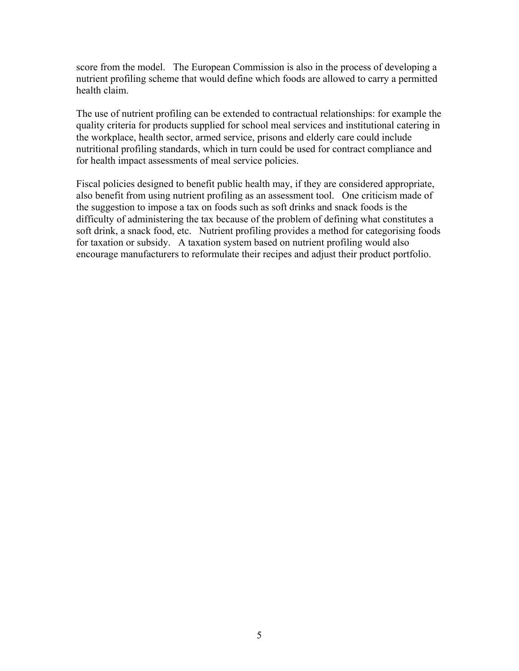score from the model. The European Commission is also in the process of developing a nutrient profiling scheme that would define which foods are allowed to carry a permitted health claim.

The use of nutrient profiling can be extended to contractual relationships: for example the quality criteria for products supplied for school meal services and institutional catering in the workplace, health sector, armed service, prisons and elderly care could include nutritional profiling standards, which in turn could be used for contract compliance and for health impact assessments of meal service policies.

Fiscal policies designed to benefit public health may, if they are considered appropriate, also benefit from using nutrient profiling as an assessment tool. One criticism made of the suggestion to impose a tax on foods such as soft drinks and snack foods is the difficulty of administering the tax because of the problem of defining what constitutes a soft drink, a snack food, etc. Nutrient profiling provides a method for categorising foods for taxation or subsidy. A taxation system based on nutrient profiling would also encourage manufacturers to reformulate their recipes and adjust their product portfolio.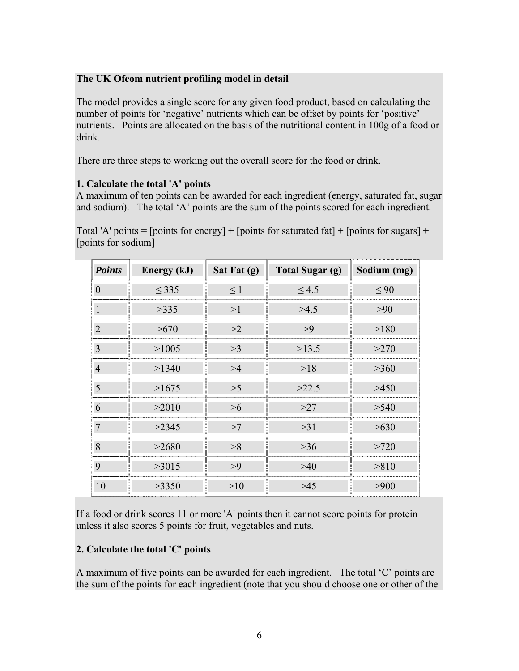#### <span id="page-5-0"></span>**The UK Ofcom nutrient profiling model in detail**

The model provides a single score for any given food product, based on calculating the number of points for 'negative' nutrients which can be offset by points for 'positive' nutrients. Points are allocated on the basis of the nutritional content in 100g of a food or drink.

There are three steps to working out the overall score for the food or drink.

## **1. Calculate the total 'A' points**

A maximum of ten points can be awarded for each ingredient (energy, saturated fat, sugar and sodium). The total 'A' points are the sum of the points scored for each ingredient.

Total 'A' points = [points for energy] + [points for saturated fat] + [points for sugars] + [points for sodium]

| <b>Points</b>    | Energy (kJ) | Sat Fat (g) | <b>Total Sugar (g)</b> | Sodium (mg) |
|------------------|-------------|-------------|------------------------|-------------|
| $\boldsymbol{0}$ | < 335       | $\leq$ 1    | $\leq 4.5$             | $\leq 90$   |
| $\mathbf{1}$     | >335        | >1          | >4.5                   | >90         |
| $\overline{2}$   | >670        | >2          | >9                     | >180        |
| 3                | >1005       | >3          | >13.5                  | >270        |
| $\overline{4}$   | >1340       | >4          | >18                    | >360        |
| 5                | >1675       | >5          | >22.5                  | >450        |
| 6                | >2010       | $>6$        | >27                    | >540        |
| $\overline{7}$   | >2345       | >7          | >31                    | >630        |
| 8                | >2680       | >8          | >36                    | >720        |
| 9                | >3015       | >9          | >40                    | > 810       |
| 10               | >3350       | >10         | >45                    | >900        |

If a food or drink scores 11 or more 'A' points then it cannot score points for protein unless it also scores 5 points for fruit, vegetables and nuts.

## **2. Calculate the total 'C' points**

A maximum of five points can be awarded for each ingredient. The total 'C' points are the sum of the points for each ingredient (note that you should choose one or other of the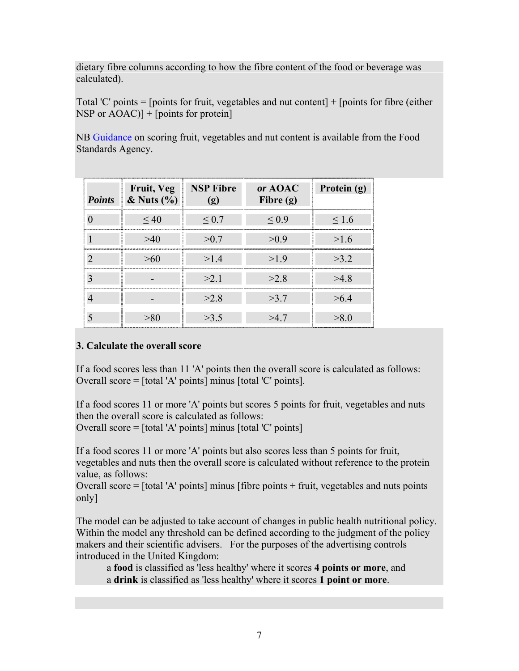dietary fibre columns according to how the fibre content of the food or beverage was calculated).

Total 'C' points  $=$  [points for fruit, vegetables and nut content]  $+$  [points for fibre (either NSP or  $AOAC$ ] + [points for protein]

NB [Guidance o](http://www.foodstandards.gov.uk/multimedia/pdfs/nutprofpguide.pdf)n scoring fruit, vegetables and nut content is available from the Food Standards Agency.

| <b>Points</b> | Fruit, Veg<br>$\&$ Nuts $(\% )$ | <b>NSP Fibre</b><br>(ջ) | or AOAC<br>Fibre $(g)$ | Protein (g) |
|---------------|---------------------------------|-------------------------|------------------------|-------------|
|               | ~10                             | ${}_{\leq 0.7}$         | $\leq 0.9$             | 1.6         |
|               | >40                             | >0.7                    | >0.9                   | >1.6        |
|               | >6()                            | >14                     | >19                    | >3.2        |
|               |                                 | >2.1                    | >2.8                   | >4.8        |
|               |                                 | >2.8                    | >3.7                   | >64         |
|               |                                 | >3.5                    | >47                    | $\geq$ 0    |

## **3. Calculate the overall score**

If a food scores less than 11 'A' points then the overall score is calculated as follows: Overall score = [total 'A' points] minus [total 'C' points].

If a food scores 11 or more 'A' points but scores 5 points for fruit, vegetables and nuts then the overall score is calculated as follows: Overall score = [total 'A' points] minus [total 'C' points]

If a food scores 11 or more 'A' points but also scores less than 5 points for fruit, vegetables and nuts then the overall score is calculated without reference to the protein value, as follows:

Overall score = [total 'A' points] minus [fibre points + fruit, vegetables and nuts points only]

The model can be adjusted to take account of changes in public health nutritional policy. Within the model any threshold can be defined according to the judgment of the policy makers and their scientific advisers. For the purposes of the advertising controls introduced in the United Kingdom:

 a **food** is classified as 'less healthy' where it scores **4 points or more**, and a **drink** is classified as 'less healthy' where it scores **1 point or more**.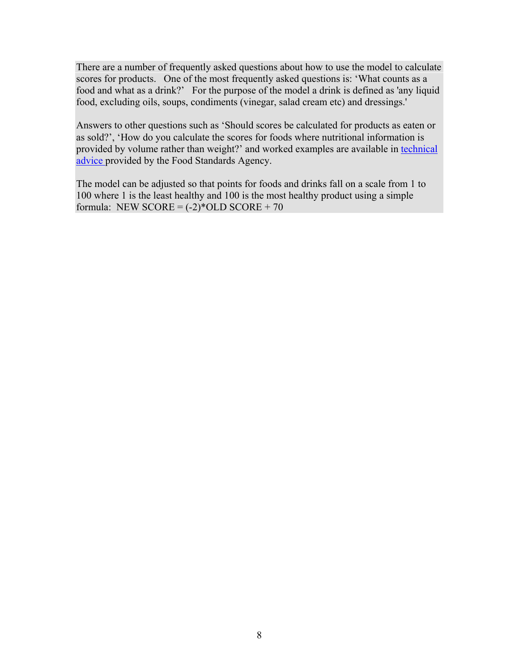There are a number of frequently asked questions about how to use the model to calculate scores for products. One of the most frequently asked questions is: 'What counts as a food and what as a drink?' For the purpose of the model a drink is defined as 'any liquid food, excluding oils, soups, condiments (vinegar, salad cream etc) and dressings.'

Answers to other questions such as 'Should scores be calculated for products as eaten or as sold?', 'How do you calculate the scores for foods where nutritional information is provided by volume rather than weight?' and worked examples are available in technical [advice](http://www.food.gov.uk/multimedia/pdfs/techguidenutprofiling.pdf) provided by the Food Standards Agency.

The model can be adjusted so that points for foods and drinks fall on a scale from 1 to 100 where 1 is the least healthy and 100 is the most healthy product using a simple formula: NEW SCORE =  $(-2)$ \*OLD SCORE + 70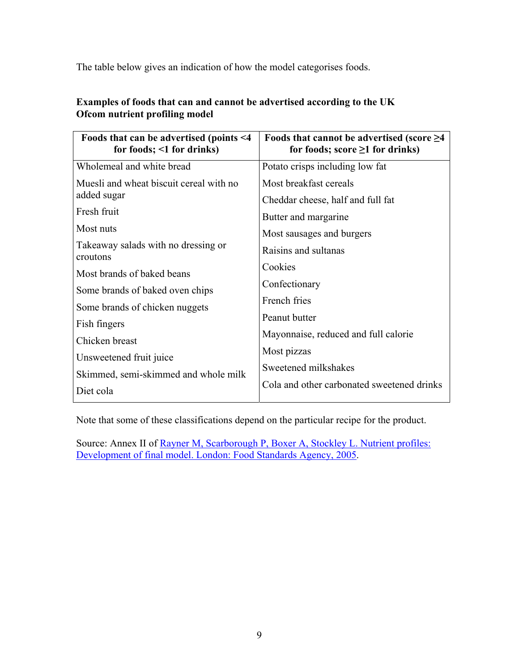The table below gives an indication of how the model categorises foods.

| Foods that can be advertised (points $\leq 4$ )<br>for foods; $\leq 1$ for drinks) | Foods that cannot be advertised (score $\geq$ 4<br>for foods; score $\geq 1$ for drinks) |  |
|------------------------------------------------------------------------------------|------------------------------------------------------------------------------------------|--|
| Wholemeal and white bread                                                          | Potato crisps including low fat                                                          |  |
| Muesli and wheat biscuit cereal with no                                            | Most breakfast cereals                                                                   |  |
| added sugar                                                                        | Cheddar cheese, half and full fat                                                        |  |
| Fresh fruit                                                                        | Butter and margarine                                                                     |  |
| Most nuts                                                                          | Most sausages and burgers                                                                |  |
| Takeaway salads with no dressing or<br>croutons                                    | Raisins and sultanas                                                                     |  |
| Most brands of baked beans                                                         | Cookies                                                                                  |  |
| Some brands of baked oven chips                                                    | Confectionary                                                                            |  |
| Some brands of chicken nuggets                                                     | French fries                                                                             |  |
| Fish fingers                                                                       | Peanut butter                                                                            |  |
| Chicken breast                                                                     | Mayonnaise, reduced and full calorie                                                     |  |
| Unsweetened fruit juice                                                            | Most pizzas                                                                              |  |
| Skimmed, semi-skimmed and whole milk                                               | Sweetened milkshakes                                                                     |  |
| Diet cola                                                                          | Cola and other carbonated sweetened drinks                                               |  |

## **Examples of foods that can and cannot be advertised according to the UK Ofcom nutrient profiling model**

Note that some of these classifications depend on the particular recipe for the product.

Source: Annex II of [Rayner M, Scarborough P, Boxer A, Stockley L. Nutrient profiles:](http://www.food.gov.uk/multimedia/pdfs/nutprofr.pdf)  [Development of final model. London: Food Standards Agency, 2005.](http://www.food.gov.uk/multimedia/pdfs/nutprofr.pdf)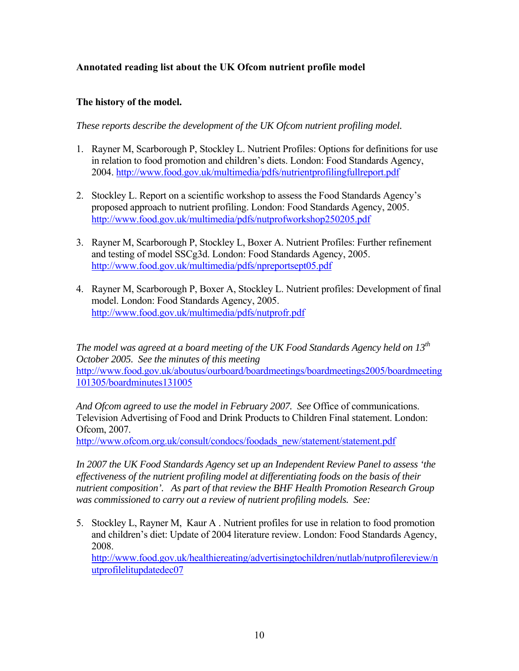## <span id="page-9-0"></span>**Annotated reading list about the UK Ofcom nutrient profile model**

#### **The history of the model.**

*These reports describe the development of the UK Ofcom nutrient profiling model.* 

- 1. Rayner M, Scarborough P, Stockley L. Nutrient Profiles: Options for definitions for use in relation to food promotion and children's diets. London: Food Standards Agency, 2004.<http://www.food.gov.uk/multimedia/pdfs/nutrientprofilingfullreport.pdf>
- 2. Stockley L. Report on a scientific workshop to assess the Food Standards Agency's proposed approach to nutrient profiling. London: Food Standards Agency, 2005. <http://www.food.gov.uk/multimedia/pdfs/nutprofworkshop250205.pdf>
- 3. Rayner M, Scarborough P, Stockley L, Boxer A. Nutrient Profiles: Further refinement and testing of model SSCg3d. London: Food Standards Agency, 2005. <http://www.food.gov.uk/multimedia/pdfs/npreportsept05.pdf>
- 4. Rayner M, Scarborough P, Boxer A, Stockley L. Nutrient profiles: Development of final model. London: Food Standards Agency, 2005. <http://www.food.gov.uk/multimedia/pdfs/nutprofr.pdf>

*The model was agreed at a board meeting of the UK Food Standards Agency held on 13th October 2005. See the minutes of this meeting*  [http://www.food.gov.uk/aboutus/ourboard/boardmeetings/boardmeetings2005/boardmeeting](http://www.food.gov.uk/aboutus/ourboard/boardmeetings/boardmeetings2005/boardmeeting101305/boardminutes131005) [101305/boardminutes131005](http://www.food.gov.uk/aboutus/ourboard/boardmeetings/boardmeetings2005/boardmeeting101305/boardminutes131005)

*And Ofcom agreed to use the model in February 2007. See* Office of communications. Television Advertising of Food and Drink Products to Children Final statement. London: Ofcom, 2007.

[http://www.ofcom.org.uk/consult/condocs/foodads\\_new/statement/statement.pdf](http://www.ofcom.org.uk/consult/condocs/foodads_new/statement/statement.pdf)

*In 2007 the UK Food Standards Agency set up an Independent Review Panel to assess 'the effectiveness of the nutrient profiling model at differentiating foods on the basis of their nutrient composition'. As part of that review the BHF Health Promotion Research Group was commissioned to carry out a review of nutrient profiling models. See:* 

5. Stockley L, Rayner M, Kaur A . Nutrient profiles for use in relation to food promotion and children's diet: Update of 2004 literature review. London: Food Standards Agency, 2008. [http://www.food.gov.uk/healthiereating/advertisingtochildren/nutlab/nutprofilereview/n](http://www.food.gov.uk/healthiereating/advertisingtochildren/nutlab/nutprofilereview/nutprofilelitupdatedec07) [utprofilelitupdatedec07](http://www.food.gov.uk/healthiereating/advertisingtochildren/nutlab/nutprofilereview/nutprofilelitupdatedec07)